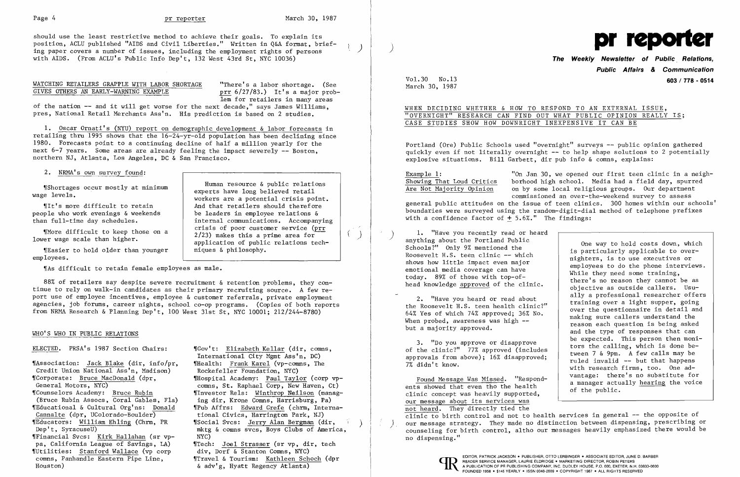should use the least restrictive method to achieve their goals. To explain its position, ACLU published "AIDS and Civil Liberties." Written in Q&A format, briefing paper covers a number of issues, including the employment rights of persons with AIDS. (From ACLU's Public Info Dep't, 132 West 43rd St, NYC 10036)

)

 $($   $)$ 

### WATCHING RETAILERS GRAPPLE WITH LABOR SHORTAGE GIVES OTHERS AN EARLY-WARNING EXAMPLE

"There's a labor shortage. (See prr 6/27/83.) It's a major problem for retailers in many areas

rem for fetaffers in many areas.<br>• of the nation -- and it will get worse for the next decade," says James Williams, pres, National Retail Merchants Ass'n. His prediction is based on 2 studies.

~rShortages occur mostly at minimum wage levels.

1. Oscar Ornati's (NYU) report on demographic development & labor forecasts in retailing thru 1995 shows that the 16-24-yr-old population has been declining since 1980. Forecasts point to a continuing decline of half a million yearly for the next  $6-7$  years. Some areas are already feeling the impact severely  $-$  Boston, northern NJ, Atlanta, Los Angeles, DC & San Francisco.

2. NRMA's own survey found:

~flt' s more difficult to retain people who work evenings & weekends than full-time day schedules.

~rMore difficult to keep those on a lower wage scale than higher.

~[Easier to hold older than younger employees.

"As difficult to retain female employees as male.

Human resource & public relations experts have long believed retail workers are a potential crisis point. And that retailers should therefore be leaders in employee relations & internal communications. Accompanying crisis of poor customer service (prr  $2/23$ ) makes this a prime area for application of public relations techniques & philosophy.

ELECTED. PRSA's 1987 Section Chairs:  $\text{``Gov't:~E1izableeth~Kellar~(dir, \text{comns},$ International City Mgmt Ass'n, DC) ~rHealth: Frank Karel (vp-comns, The Rockefeller Foundation, NYC) ~rHospital Academy: Paul Taylor (corp vpcomns, St. Raphael Corp, New Haven, Ct) ~rlnvestor Rels: Winthrop Neilson (managing dir, Krone Comns, Harrisburg, Pa) ~rpub Affrs: Edward Grefe (chrm, International Civics, Harrington Park, NJ) ~rSocial Svcs: Jerry Alan Bergman (dir, mktg & COmns svcs, Boys Clubs of America, NYC) ~rTech: Joel Strasser (sr vp, dir, tech div, Dorf & Stanton Comns, NYC) ~rTravel & Tourism: Kathleen Schoch (dpr

Portland (Ore) Public Schools used "overnight" surveys -- public opinion gathered quickly even if not literally overnight -- to help shape solutions to 2 potentially explosive situations. Bill Garbett, dir pub info & comns, explains:

Example 1: "On Jan 30, we opened our first teen clinic in a neigh-<br>Showing That Loud Critics borhood high school. Media had a field day, spurred Showing That Loud Critics borhood high school. Media had a field day, spurred<br>Are Not Majority Opinion on by some local religious groups. Our department on by some local religious groups. Our department commissioned an over-the-weekend survey to assess general public attitudes on the issue of teen clinics. 300 homes within our schools' boundaries were surveyed using the random-digit-dial method of telephone prefixes with a confidence factor of  $+5.6\%$ ." The findings:

anything about the Portland Public<br>
Schools?" Only 9% mentioned the<br>
Roosevelt H.S. teen clinic -- which<br>
shows how little impact even major<br>
emotional media coverage can have<br>
today. 89% of those with top-of-<br>
head knowle

88% of retailers say despite severe recruitment & retention problems, they COntinue to rely on walk-in candidates as their primary recruiting source. A few report use of employee incentives, employee & customer referrals, private employment agencies, job forums, career nights, school co-op programs. (Copies of both reports from NRMA Research & Planning Dep't, 100 West 31st St, NYC 10001; 212/244-8780)

### WHO'S WHO IN PUBLIC RELATIONS

~rAssociation: Jack Blake (dir, info/pr, Credit Union National Ass'n, Madison) ~rCorporate: Bruce MacDonald (dp r , General Motors, NYC) ~rCounselors Academy: Bruce Rubin (Bruce Rubin Assocs, Coral Gables, Fla) ~rEducational & Cultural Org' ns: Donald Cannalte (dpr, UColorado-Boulder) ~rEducators: William Ehling (Chrm, PR Dep't, SyracuseU) ~rFinancial Svcs: Kirk Hallahan (sr vppa, California League of Savings, LA) ~fUtilities: Stanford Wallace (vp corp comns, Panhandle Eastern Pipe Line, Houston)

Found Message Was Missed. "Respond-<br>ents showed that even tho the health<br>respondence a manager actually hearing the voice ents showed that even tho the health of the public.<br>clinic concept was heavily supported, our message about its services was not heard. They directly tied the clinic to birth control and not to health services in general -- the opposite of our message strategy. They made no distinction between dispensing, prescribing or<br>counseling for birth control, altho our messages heavily emphasized there would be no dispensing."



& adv'g, Hyatt Regency Atlanta)

)



# **The Weekly Newsletter of Public. Relations, Public Affairs & Communication**  Vol. 30 No. 13 **603/ 778 - 0514**

2. "Have you heard or read about ally a professional researcher offers<br>training over a light supper, going<br> $\frac{1}{2}$  training over a light supper, going<br>over the questionnaire in detail and the Roosevelt H.S. teen health clinic?"<br>
64% Yes of which 74% approved; 36% No.<br>
When probed, awareness was high --<br>
but a majority approved.<br>
but a majority approved.<br>
and the type of responses that can 3. "Do you approve or disapprove<br>of the clinic?" 77% approved (includes<br>approvals from above); 16% disapproved;<br>7% didn't know.<br>The search firms, too. One ad-

March 30, 1987

## WHEN DECIDING WHETHER & HOW TO RESPOND TO AN EXTERNAL ISSUE, "OVERNIGHT" RESEARCH CAN FIND OUT WHAT PUBLIC OPINION REALLY IS; CASE STUDIES SHOW HOW DOWNRIGHT INEXPENSIVE IT CAN BE